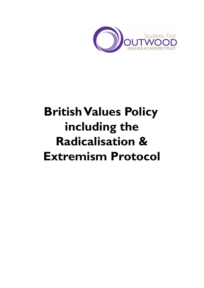

# **British Values Policy including the Radicalisation & Extremism Protocol**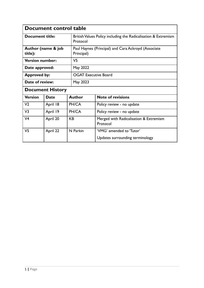|                        | Document control table  |                             |                                                                |
|------------------------|-------------------------|-----------------------------|----------------------------------------------------------------|
| <b>Document title:</b> |                         | Protocol                    | British Values Policy including the Radicalisation & Extremism |
| title):                | Author (name & job      | Principal)                  | Paul Haynes (Principal) and Cara Ackroyd (Associate            |
| <b>Version number:</b> |                         | V <sub>5</sub>              |                                                                |
| Date approved:         |                         | May 2022                    |                                                                |
| <b>Approved by:</b>    |                         | <b>OGAT Executive Board</b> |                                                                |
| Date of review:        |                         | May 2023                    |                                                                |
|                        | <b>Document History</b> |                             |                                                                |
| <b>Version</b>         | <b>Date</b>             | <b>Author</b>               | <b>Note of revisions</b>                                       |
| V <sub>2</sub>         | April 18                | PH/CA                       | Policy review - no update                                      |
| V <sub>3</sub>         | April 19                | PH/CA                       | Policy review - no update                                      |
| V <sub>4</sub>         | April 20                | <b>KB</b>                   | Merged with Radicalisation & Extremism<br>Protocol             |
| V <sub>5</sub>         | April 22                | N Parkin                    | 'VMG' amended to 'Tutor'                                       |
|                        |                         |                             | Updates surrounding terminology                                |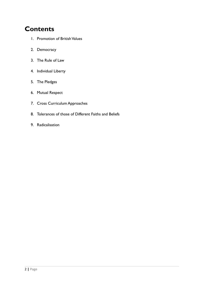# **Contents**

- 1. Promotion of British Values
- 2. Democracy
- 3. The Rule of Law
- 4. Individual Liberty
- 5. The Pledges
- 6. Mutual Respect
- 7. Cross Curriculum Approaches
- 8. Tolerances of those of Different Faiths and Beliefs
- 9. Radicalisation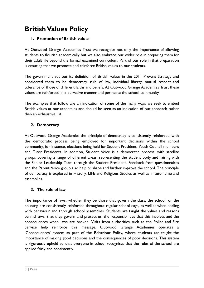# **BritishValues Policy**

#### **1. Promotion of British values**

At Outwood Grange Academies Trust we recognise not only the importance of allowing students to flourish academically but we also embrace our wider role in preparing them for their adult life beyond the formal examined curriculum. Part of our role in that preparation is ensuring that we promote and reinforce British values to our students.

The government set out its definition of British values in the 2011 Prevent Strategy and considered them to be democracy, rule of law, individual liberty, mutual respect and tolerance of those of different faiths and beliefs. At Outwood Grange Academies Trust these values are reinforced in a pervasive manner and permeate the school community.

The examples that follow are an indication of some of the many ways we seek to embed British values at our academies and should be seen as an indication of our approach rather than an exhaustive list.

#### **2. Democracy**

At Outwood Grange Academies the principle of democracy is consistently reinforced, with the democratic process being employed for important decisions within the school community, for instance, elections being held for Student President, Youth Council members and Tutor Presidents. In addition, Student Voice is a democratic process, with satellite groups covering a range of different areas, representing the student body and liaising with the Senior Leadership Team through the Student President. Feedback from questionnaires and the Parent Voice group also help to shape and further improve the school. The principle of democracy is explored in History, LIFE and Religious Studies as well as in tutor time and assemblies.

#### **3. The rule of law**

The importance of laws, whether they be those that govern the class, the school, or the country, are consistently reinforced throughout regular school days, as well as when dealing with behaviour and through school assemblies. Students are taught the values and reasons behind laws, that they govern and protect us, the responsibilities that this involves and the consequences when laws are broken. Visits from authorities such as the Police and Fire Service help reinforce this message. Outwood Grange Academies operates a 'Consequences' system as part of the Behaviour Policy, where students are taught the importance of making good decisions and the consequences of poor decisions. This system is rigorously upheld so that everyone in school recognises that the rules of the school are applied fairly and consistently.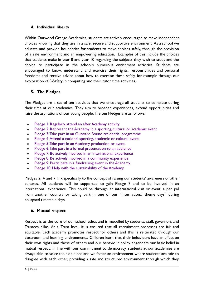#### **4. Individual liberty**

Within Outwood Grange Academies, students are actively encouraged to make independent choices knowing that they are in a safe, secure and supportive environment. As a school we educate and provide boundaries for students to make choices safely, through the provision of a safe environment and an empowering education. Examples of this include the choices that students make in year 8 and year 10 regarding the subjects they wish to study and the choice to participate in the school's numerous enrichment activities. Students are encouraged to know, understand and exercise their rights, responsibilities and personal freedoms and receive advice about how to exercise these safely, for example through our exploration of E-Safety in computing and their tutor time activities.

#### **5. The Pledges**

The Pledges are a set of ten activities that we encourage all students to complete during their time at our academies. They aim to broaden experiences, extend opportunities and raise the aspirations of our young people.The ten Pledges are as follows:

- [Pledge 1: Regularly attend an after Academy activity](http://cdn.www.portland.outwood.com/files/linked_files/1072/7156ff9931fd5699db2a129f2f9fd56e47e84be4?1390827941)
- [Pledge 2: Represent the Academy in a sporting, cultural or academic event](http://cdn.www.portland.outwood.com/files/linked_files/1092/5179db2e4608f312a50f848e0ef5af5e7d761f9a?1390902752)
- [Pledge 3:Take part in an Outward Bound residential programme](http://cdn.www.portland.outwood.com/files/linked_files/1093/c33daede9a61c6746d7c45d1ab382ca46b6cd0a3?1390902777)
- Pledge 4: Attend a national sporting, academic or cultural event
- [Pledge 5:Take part in an Academy production or event](http://cdn.www.portland.outwood.com/files/linked_files/1076/4b88353e6acf458b6f19bb3791aaa47e3f85139d?1390828009)
- [Pledge 6:Take part in a formal presentation to an audience](http://cdn.www.portland.outwood.com/files/linked_files/1077/170a531302f5a013b0ac1735aab97355d8215671?1390828037)
- [Pledge 7: Be actively involved in an international experience](http://cdn.www.portland.outwood.com/files/linked_files/1078/0f9a537838cd50ea3c95d2e17df73070a043c457?1390828056)
- [Pledge 8: Be actively involved in a community experience](http://cdn.www.portland.outwood.com/files/linked_files/1079/760d5bb35dd67430f2e055e6b1046f636b692830?1390828074)
- [Pledge 9: Participate in a fundraising event in the Academy](http://cdn.www.portland.outwood.com/files/linked_files/1080/a88b38d0d2d640b46569c0244cce3552f841b511?1390828090)
- [Pledge 10: Help with the sustainability of the Academy](http://cdn.www.portland.outwood.com/files/linked_files/1081/94af6a4e38c26207a0e7b7b994bebdc48c81aa75?1390828108)

Pledges 2, 4 and 7 link specifically to the concept of raising our students' awareness of other cultures. All students will be supported to gain Pledge 7 and to be involved in an international experience. This could be through an international visit or event, a pen pal from another country or taking part in one of our "International theme days" during collapsed timetable days.

#### **6. Mutual respect**

Respect is at the core of our school ethos and is modelled by students, staff, governors and Trustees alike. At a Trust level, it is ensured that all recruitment processes are fair and equitable. Each academy promotes respect for others and this is reiterated through our classroom and learning environments. Children learn that their behaviours have an effect on their own rights and those of others and our behaviour policy engenders our basic belief in mutual respect. In line with our commitment to democracy, students at our academies are always able to voice their opinions and we foster an environment where students are safe to disagree with each other, providing a safe and structured environment through which they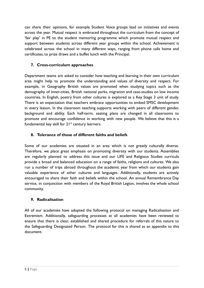can share their opinions, for example Student Voice groups lead on initiatives and events across the year. Mutual respect is embraced throughout the curriculum from the concept of 'fair play' in PE to the student mentoring programme which promote mutual respect and support between students across different year groups within the school. Achievement is celebrated across the school in many different ways, ranging from phone calls home and certificates, to prize draws and a buffet lunch with the Principal.

### **7. Cross-curriculum approaches**

Department teams are asked to consider how teaching and learning in their own curriculum area might help to promote the understanding and values of diversity and respect. For example, in Geography British values are promoted when studying topics such as the demography of inner-cities, British national parks, migration and case-studies on low income countries. In English, poetry from other cultures is explored as a Key Stage 3 unit of study. There is an expectation that teachers embrace opportunities to embed SMSC development in every lesson. In the classroom teaching supports working with peers of different gender, background and ability. Each half-term, seating plans are changed in all classrooms to promote and encourage confidence in working with new people. We believe that this is a fundamental key skill for  $21<sup>st</sup>$  century learners.

## **8. Tolerance of those of different faiths and beliefs**

Some of our academies are situated in an area which is not greatly culturally diverse. Therefore, we place great emphasis on promoting diversity with our students. Assemblies are regularly planned to address this issue and our LIFE and Religious Studies curricula provide a broad and balanced education on a range of faiths, religions and cultures. We also run a number of trips abroad throughout the academic year from which our students gain valuable experience of other cultures and languages. Additionally, students are actively encouraged to share their faith and beliefs within the school. An annual Remembrance Day service, in conjunction with members of the Royal British Legion, involves the whole school community.

#### **9. Radicalisation**

All of our academies have adopted the following protocol on managing Radicalisation and Extremism. Additionally, safeguarding processes at all academies have been reviewed to ensure that there is clear, established and shared procedure for referrals of this nature to the Safeguarding Designated Person. The protocol for this is shared as an appendix to this document.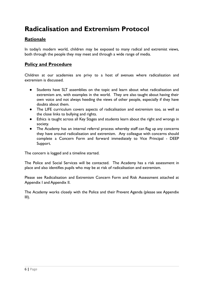# **Radicalisation and Extremism Protocol**

# **Rationale**

In today's modern world, children may be exposed to many radical and extremist views, both through the people they may meet and through a wide range of media.

## **Policy and Procedure**

Children at our academies are privy to a host of avenues where radicalisation and extremism is discussed.

- Students have SLT assemblies on the topic and learn about what radicalisation and extremism are, with examples in the world. They are also taught about having their own voice and not always heeding the views of other people, especially if they have doubts about them.
- The LIFE curriculum covers aspects of radicalisation and extremism too, as well as the close links to bullying and rights.
- Ethics is taught across all Key Stages and students learn about the right and wrongs in society.
- The Academy has an internal referral process whereby staff can flag up any concerns they have around radicalisation and extremism. Any colleague with concerns should complete a Concern Form and forward immediately to Vice Principal - DEEP Support.

The concern is logged and a timeline started.

The Police and Social Services will be contacted. The Academy has a risk assessment in place and also identifies pupils who may be at risk of radicalisation and extremism.

Please see Radicalisation and Extremism Concern Form and Risk Assessment attached at Appendix I and Appendix II.

The Academy works closely with the Police and their Prevent Agenda (please see Appendix III).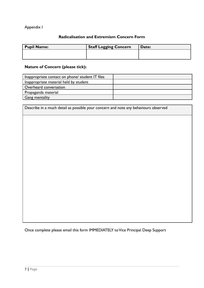## Appendix I

## **Radicalisation and Extremism Concern Form**

| <b>Pupil Name:</b> | <b>Staff Logging Concern</b> | Date: |
|--------------------|------------------------------|-------|
|                    |                              |       |
|                    |                              |       |

# **Nature of Concern (please tick):**

| Inappropriate contact on phone/ student IT files |  |
|--------------------------------------------------|--|
| Inappropriate material held by student           |  |
| Overheard conversation                           |  |
| Propaganda material                              |  |
| Gang mentality                                   |  |

| Describe in a much detail as possible your concern and note any behaviours observed |
|-------------------------------------------------------------------------------------|
|                                                                                     |
|                                                                                     |
|                                                                                     |
|                                                                                     |
|                                                                                     |
|                                                                                     |
|                                                                                     |
|                                                                                     |
|                                                                                     |
|                                                                                     |
|                                                                                     |

Once complete please email this form IMMEDIATELY to Vice Principal Deep Support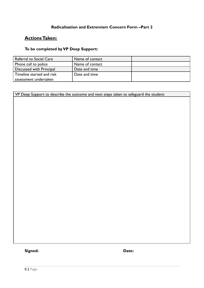#### **Radicalisation and Extremism Concern Form –Part 2**

# **ActionsTaken:**

# **To be completed by VP Deep Support:**

| Referral to Social Care   | Name of contact |  |
|---------------------------|-----------------|--|
| Phone call to police      | Name of contact |  |
| Discussed with Principal  | Date and time   |  |
| Timeline started and risk | Date and time   |  |
| assessment undertaken     |                 |  |

VP Deep Support to describe the outcome and next steps taken to safeguard the student:

**Signed: Date:**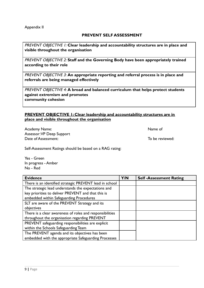#### Appendix II

#### **PREVENT SELF ASSESSMENT**

PREVENT OBJECTIVE 1: **Clear leadership and accountability structures are in place and visible throughout the organisation**

PREVENT OBJECTIVE 2: **Staff and the Governing Body have been appropriately trained according to their role**

PREVENT OBJECTIVE 3: **An appropriate reporting and referral process is in place and referrals are being managed effectively**

PREVENT OBJECTIVE 4: **A broad and balanced curriculum that helps protect students against extremism and promotes community cohesion**

#### **PREVENT OBJECTIVE 1: Clear leadership and accountability structures are in place and visible throughout the organisation**

Academy Name: Name of Assessor:VP Deep Support Date of Assessment:  $\Box$  To be reviewed:

Self-Assessment Ratings should be based on a RAG rating:

Yes - Green In progress - Amber No - Red

| <b>Evidence</b>                                          | Y/N | <b>Self-Assessment Rating</b> |
|----------------------------------------------------------|-----|-------------------------------|
| There is an identified strategic PREVENT lead in school  |     |                               |
| The strategic lead understands the expectations and      |     |                               |
| key priorities to deliver PREVENT and that this is       |     |                               |
| embedded within Safeguarding Procedures                  |     |                               |
| SLT are aware of the PREVENT Strategy and its            |     |                               |
| objectives                                               |     |                               |
| There is a clear awareness of roles and responsibilities |     |                               |
| throughout the organisation regarding PREVENT            |     |                               |
| PREVENT safeguarding responsibilities are explicit       |     |                               |
| within the Schools Safeguarding Team                     |     |                               |
| The PREVENT agenda and its objectives has been           |     |                               |
| embedded with the appropriate Safeguarding Processes     |     |                               |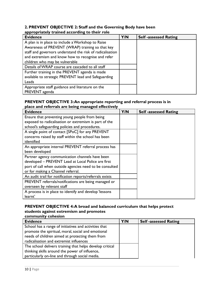#### **2. PREVENT OBJECTIVE 2: Staff and the Governing Body have been appropriately trained according to their role**

| <b>Evidence</b>                                           | Y/N | <b>Self-assessed Rating</b> |
|-----------------------------------------------------------|-----|-----------------------------|
| A plan is in place to include a Workshop to Raise         |     |                             |
| Awareness of PREVENT (WRAP) training so that key          |     |                             |
| staff and governors understand the risk of radicalisation |     |                             |
| and extremism and know how to recognise and refer         |     |                             |
| children who may be vulnerable                            |     |                             |
| Details of WRAP course are cascaded to all staff          |     |                             |
| Further training in the PREVENT agenda is made            |     |                             |
| available to strategic PREVENT lead and Safeguarding      |     |                             |
| Leads                                                     |     |                             |
| Appropriate staff guidance and literature on the          |     |                             |
| PREVENT agenda                                            |     |                             |

#### **PREVENT OBJECTIVE 3:An appropriate reporting and referral process is in place and referrals are being managed effectively**

| <b>Evidence</b>                                          | Y/N | <b>Self-assessed Rating</b> |
|----------------------------------------------------------|-----|-----------------------------|
| Ensure that preventing young people from being           |     |                             |
| exposed to radicalisation or extremism is part of the    |     |                             |
| school's safeguarding policies and procedures.           |     |                             |
| A single point of contact [SPoC] for any PREVENT         |     |                             |
| concerns raised by staff within the school has been      |     |                             |
| identified                                               |     |                             |
| An appropriate internal PREVENT referral process has     |     |                             |
| been developed                                           |     |                             |
| Partner agency communication channels have been          |     |                             |
| developed - PREVENT Lead at Local Police are first       |     |                             |
| port of call when outside agencies need to be consulted  |     |                             |
| or for making a Channel referral.                        |     |                             |
| An audit trail for notification reports/referrals exists |     |                             |
| PREVENT referrals/notifications are being managed or     |     |                             |
| overseen by relevant staff                               |     |                             |
| A process is in place to identify and develop 'lessons   |     |                             |
| learnt'                                                  |     |                             |

#### **PREVENT OBJECTIVE 4:A broad and balanced curriculum that helps protect students against extremism and promotes community cohesion**

| <b>Evidence</b>                                                                                       | Y/N | <b>Self-assessed Rating</b> |
|-------------------------------------------------------------------------------------------------------|-----|-----------------------------|
| School has a range of initiatives and activities that                                                 |     |                             |
| promote the spiritual, moral, social and emotional<br>needs of children aimed at protecting them from |     |                             |
| radicalisation and extremist influences                                                               |     |                             |
| The school delivers training that helps develop critical                                              |     |                             |
| thinking skills around the power of influence,                                                        |     |                             |
| particularly on-line and through social media.                                                        |     |                             |